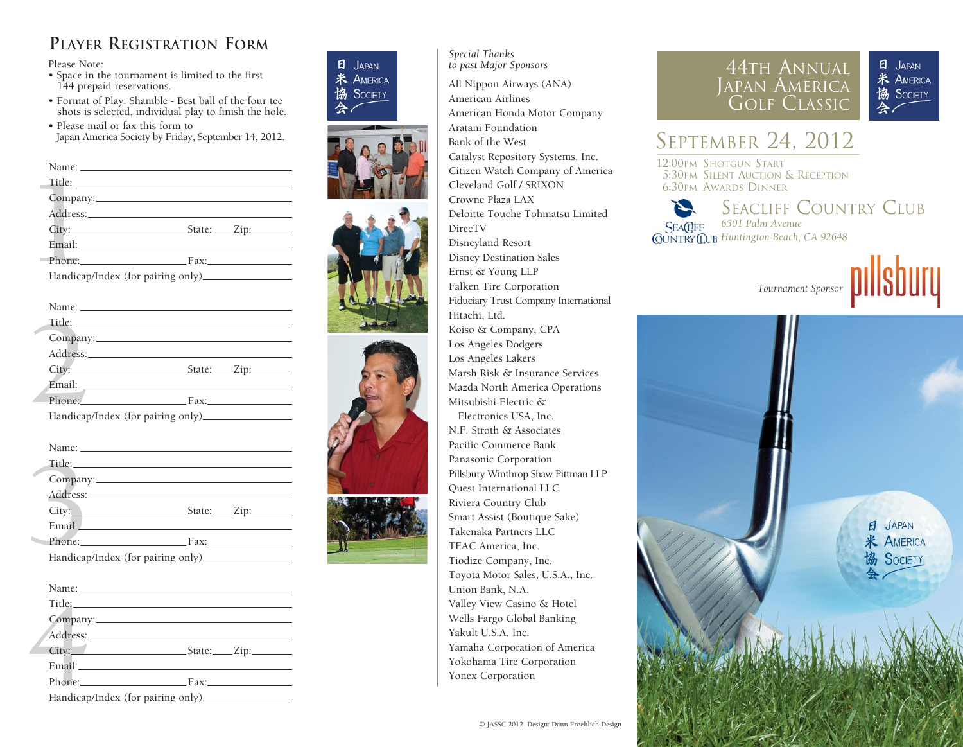## **PLAYER REGISTRATION FORM**

Please Note:

- Space in the tournament is limited to the first 144 prepaid reservations.
- Format of Play: Shamble Best ball of the four tee shots is selected, individual play to finish the hole.
- Please mail or fax this form to Japan America Society by Friday, September 14, 2012.

Title:<br>Company<br>Address:<br>City:<br>Email:<br>Phone:<br>Handicap Name: Title: Company: Address: No. 2014 19:30 19:30 19:30 19:30 19:30 19:30 19:30 19:30 19:30 19:30 19:30 19:30 19:30 19:30 19:30 19:30 19:30 19:30 19:30 19:30 19:30 19:30 19:30 19:30 19:30 19:30 19:30 19:30 19:30 19:30 19:30 19:30 19:30 19:30 City: State: Zip: Email: Phone: Fax: Handicap/Index (for pairing only) Name: Name: Name: Name: Name: Name: Name: Name: Name: Name: Name: Name: Name: Name: Name: Name: Name: Name: Name: Name: Name: Name: Name: Name: Name: Name: Name: Name: Name: Name: Name: Name: Name: Name: Name: Name: Name:

| Title: Title: |                                   |
|---------------|-----------------------------------|
| Company:      |                                   |
|               |                                   |
|               |                                   |
|               |                                   |
|               | Phone: Fax:                       |
|               | Handicap/Index (for pairing only) |

| Company: |
|----------|
|          |
|          |
|          |
| Phone:   |
|          |

| Title: The contract of the contract of the contract of the contract of the contract of the contract of the contract of the contract of the contract of the contract of the contract of the contract of the contract of the con |  |
|--------------------------------------------------------------------------------------------------------------------------------------------------------------------------------------------------------------------------------|--|
| Company:                                                                                                                                                                                                                       |  |
| Address:                                                                                                                                                                                                                       |  |
| $City:$ $City:$ $Zip:$                                                                                                                                                                                                         |  |
| Email: The Company of the Company of the Company of the Company of the Company of the Company of the Company of the Company of the Company of the Company of the Company of the Company of the Company of the Company of the C |  |
| Phone: Fax: Fax:                                                                                                                                                                                                               |  |
|                                                                                                                                                                                                                                |  |
|                                                                                                                                                                                                                                |  |
|                                                                                                                                                                                                                                |  |
| Title: Title:                                                                                                                                                                                                                  |  |
|                                                                                                                                                                                                                                |  |
| Address: No. 1998. The Contract of the Contract of the Contract of the Contract of the Contract of the Contract of the Contract of the Contract of the Contract of the Contract of the Contract of the Contract of the Contrac |  |
| City: State: Zip:                                                                                                                                                                                                              |  |
|                                                                                                                                                                                                                                |  |
| Phone: Fax:                                                                                                                                                                                                                    |  |
|                                                                                                                                                                                                                                |  |
|                                                                                                                                                                                                                                |  |
|                                                                                                                                                                                                                                |  |
|                                                                                                                                                                                                                                |  |
|                                                                                                                                                                                                                                |  |
| Address: No. 1998                                                                                                                                                                                                              |  |
|                                                                                                                                                                                                                                |  |
| Email: Email:                                                                                                                                                                                                                  |  |
| Phone: Fax:                                                                                                                                                                                                                    |  |
|                                                                                                                                                                                                                                |  |



*Special Thanks to past Major Sponsors* All Nippon Airways (ANA) American Airlines American Honda Motor Company Aratani Foundation Bank of the West Catalyst Repository Systems, Inc. Citizen Watch Company of America Cleveland Golf / SRIXON Crowne Plaza LAX Deloitte Touche Tohmatsu Limited DirecTV Disneyland Resort Disney Destination Sales Ernst & Young LLP Falken Tire Corporation Fiduciary Trust Company International Hitachi, Ltd. Koiso & Company, CPA Los Angeles Dodgers Los Angeles Lakers Marsh Risk & Insurance Services Mazda North America Operations Mitsubishi Electric & Electronics USA, Inc. N.F. Stroth & Associates Pacific Commerce Bank Panasonic Corporation Pillsbury Winthrop Shaw Pittman LLP Quest International LLC Riviera Country Club Smart Assist (Boutique Sake) Takenaka Partners LLC TEAC America, Inc. Tiodize Company, Inc. Toyota Motor Sales, U.S.A., Inc. Union Bank, N.A. Valley View Casino & Hotel Wells Fargo Global Banking Yakult U.S.A. Inc. Yamaha Corporation of America Yokohama Tire Corporation Yonex Corporation



## E JAPAN **米 AMERICA** 協 SOCIETY

# SEPTEMBER 24, 2012

12:00PM SHOTGUN START 5:30PM SILENT AUCTION & RECEPTION 6:30PM AWARDS DINNER

SEACLIFF COUNTRY CLUB **SEACIFF** *6501 Palm Avenue Huntington Beach, CA 92648*